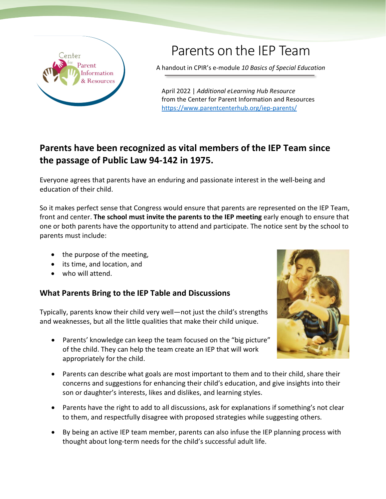

## Parents on the IEP Team

A handout in CPIR's e-module *10 Basics of Special Education*

April 2022 | *Additional eLearning Hub Resource* from the Center for Parent Information and Resources <https://www.parentcenterhub.org/iep-parents/>

## **Parents have been recognized as vital members of the IEP Team since the passage of Public Law 94-142 in 1975.**

Everyone agrees that parents have an enduring and passionate interest in the well-being and education of their child.

So it makes perfect sense that Congress would ensure that parents are represented on the IEP Team, front and center. **The school must invite the parents to the IEP meeting** early enough to ensure that one or both parents have the opportunity to attend and participate. The notice sent by the school to parents must include:

- the purpose of the meeting,
- its time, and location, and
- who will attend.

## **What Parents Bring to the IEP Table and Discussions**

Typically, parents know their child very well—not just the child's strengths and weaknesses, but all the little qualities that make their child unique.

- Parents' knowledge can keep the team focused on the "big picture" of the child. They can help the team create an IEP that will work appropriately for the child.
- Parents can describe what goals are most important to them and to their child, share their concerns and suggestions for enhancing their child's education, and give insights into their son or daughter's interests, likes and dislikes, and learning styles.
- Parents have the right to add to all discussions, ask for explanations if something's not clear to them, and respectfully disagree with proposed strategies while suggesting others.
- By being an active IEP team member, parents can also infuse the IEP planning process with thought about long-term needs for the child's successful adult life.